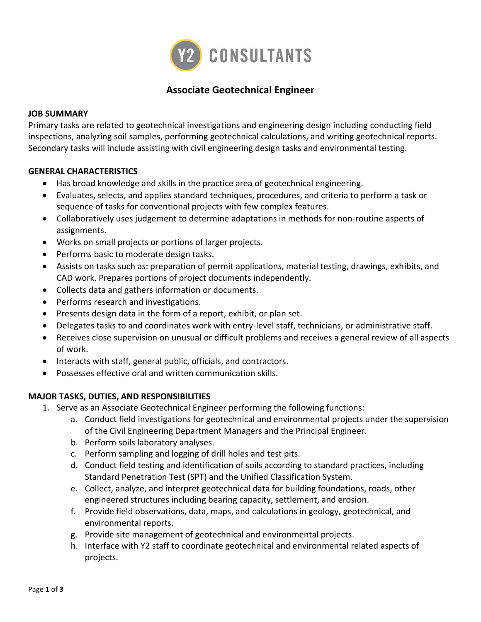

# **Associate Geotechnical Engineer**

#### **JOB SUMMARY**

Primary tasks are related to geotechnical investigations and engineering design including conducting field inspections, analyzing soil samples, performing geotechnical calculations, and writing geotechnical reports. Secondary tasks will include assisting with civil engineering design tasks and environmental testing.

#### **GENERAL CHARACTERISTICS**

- Has broad knowledge and skills in the practice area of geotechnical engineering.
- Evaluates, selects, and applies standard techniques, procedures, and criteria to perform a task or sequence of tasks for conventional projects with few complex features.
- Collaboratively uses judgement to determine adaptations in methods for non-routine aspects of assignments.
- Works on small projects or portions of larger projects.
- Performs basic to moderate design tasks.
- Assists on tasks such as: preparation of permit applications, material testing, drawings, exhibits, and CAD work. Prepares portions of project documents independently.
- Collects data and gathers information or documents.
- Performs research and investigations.
- Presents design data in the form of a report, exhibit, or plan set.
- Delegates tasks to and coordinates work with entry-level staff, technicians, or administrative staff.
- Receives close supervision on unusual or difficult problems and receives a general review of all aspects of work.
- Interacts with staff, general public, officials, and contractors.
- Possesses effective oral and written communication skills.

#### **MAJOR TASKS, DUTIES, AND RESPONSIBILITIES**

- 1. Serve as an Associate Geotechnical Engineer performing the following functions:
	- a. Conduct field investigations for geotechnical and environmental projects under the supervision of the Civil Engineering Department Managers and the Principal Engineer.
	- b. Perform soils laboratory analyses.
	- c. Perform sampling and logging of drill holes and test pits.
	- d. Conduct field testing and identification of soils according to standard practices, including Standard Penetration Test (SPT) and the Unified Classification System.
	- e. Collect, analyze, and interpret geotechnical data for building foundations, roads, other engineered structures including bearing capacity, settlement, and erosion.
	- f. Provide field observations, data, maps, and calculations in geology, geotechnical, and environmental reports.
	- g. Provide site management of geotechnical and environmental projects.
	- h. Interface with Y2 staff to coordinate geotechnical and environmental related aspects of projects.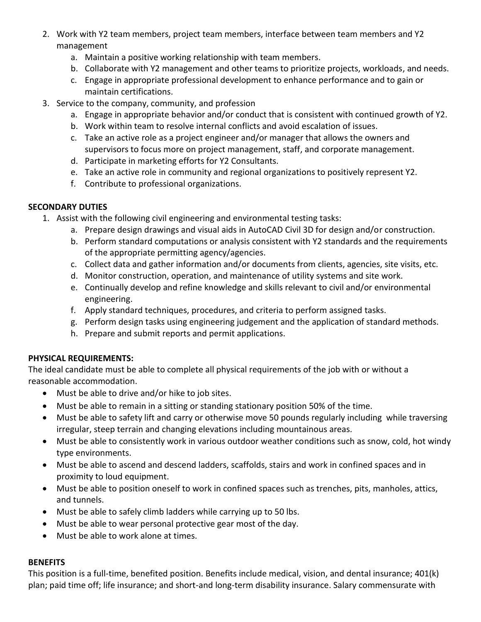- 2. Work with Y2 team members, project team members, interface between team members and Y2 management
	- a. Maintain a positive working relationship with team members.
	- b. Collaborate with Y2 management and other teams to prioritize projects, workloads, and needs.
	- c. Engage in appropriate professional development to enhance performance and to gain or maintain certifications.
- 3. Service to the company, community, and profession
	- a. Engage in appropriate behavior and/or conduct that is consistent with continued growth of Y2.
	- b. Work within team to resolve internal conflicts and avoid escalation of issues.
	- c. Take an active role as a project engineer and/or manager that allows the owners and supervisors to focus more on project management, staff, and corporate management.
	- d. Participate in marketing efforts for Y2 Consultants.
	- e. Take an active role in community and regional organizations to positively represent Y2.
	- f. Contribute to professional organizations.

### **SECONDARY DUTIES**

- 1. Assist with the following civil engineering and environmental testing tasks:
	- a. Prepare design drawings and visual aids in AutoCAD Civil 3D for design and/or construction.
	- b. Perform standard computations or analysis consistent with Y2 standards and the requirements of the appropriate permitting agency/agencies.
	- c. Collect data and gather information and/or documents from clients, agencies, site visits, etc.
	- d. Monitor construction, operation, and maintenance of utility systems and site work.
	- e. Continually develop and refine knowledge and skills relevant to civil and/or environmental engineering.
	- f. Apply standard techniques, procedures, and criteria to perform assigned tasks.
	- g. Perform design tasks using engineering judgement and the application of standard methods.
	- h. Prepare and submit reports and permit applications.

### **PHYSICAL REQUIREMENTS:**

The ideal candidate must be able to complete all physical requirements of the job with or without a reasonable accommodation.

- Must be able to drive and/or hike to job sites.
- Must be able to remain in a sitting or standing stationary position 50% of the time.
- Must be able to safety lift and carry or otherwise move 50 pounds regularly including while traversing irregular, steep terrain and changing elevations including mountainous areas.
- Must be able to consistently work in various outdoor weather conditions such as snow, cold, hot windy type environments.
- Must be able to ascend and descend ladders, scaffolds, stairs and work in confined spaces and in proximity to loud equipment.
- Must be able to position oneself to work in confined spaces such as trenches, pits, manholes, attics, and tunnels.
- Must be able to safely climb ladders while carrying up to 50 lbs.
- Must be able to wear personal protective gear most of the day.
- Must be able to work alone at times.

### **BENEFITS**

This position is a full-time, benefited position. Benefits include medical, vision, and dental insurance; 401(k) plan; paid time off; life insurance; and short-and long-term disability insurance. Salary commensurate with